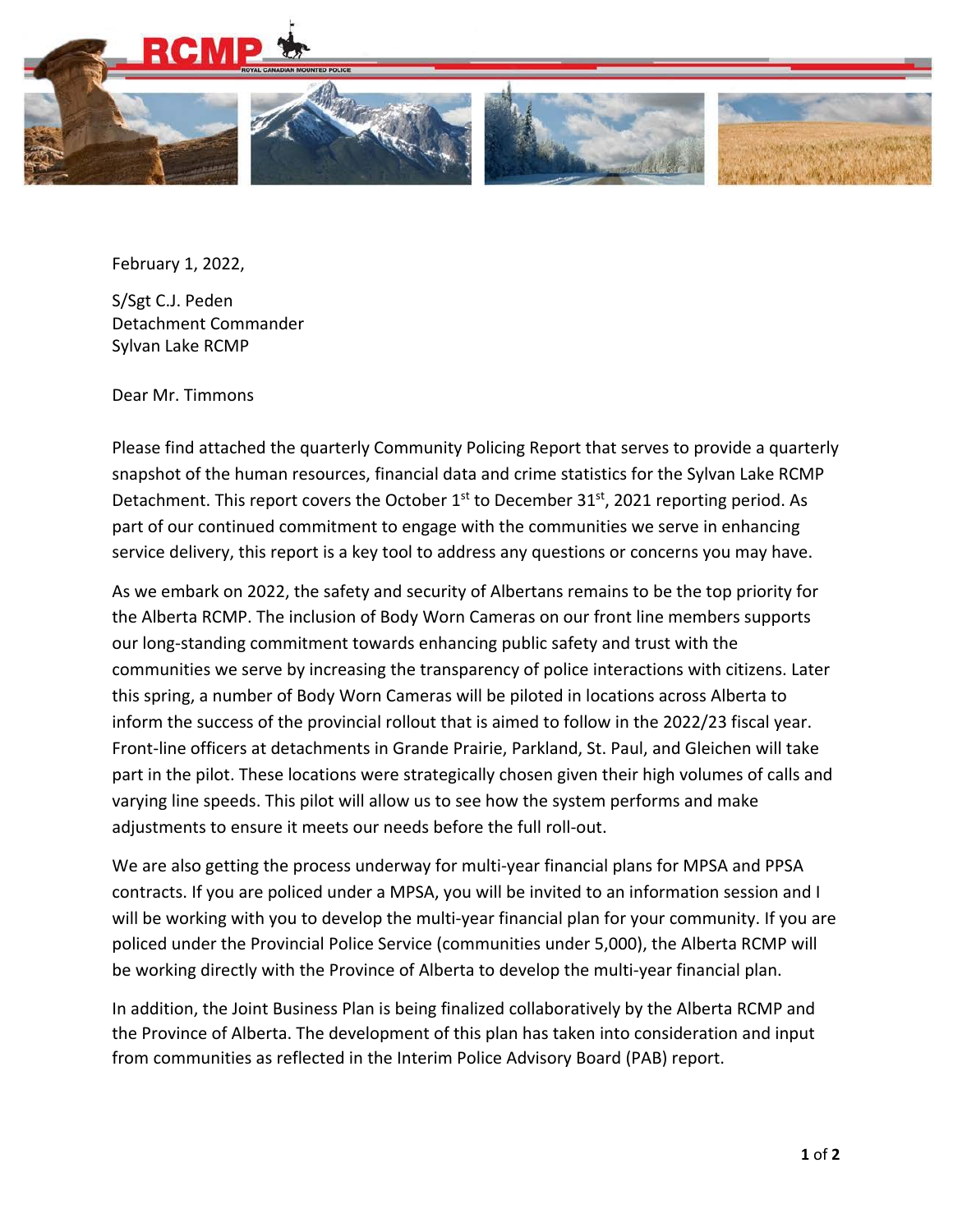

February 1, 2022,

S/Sgt C.J. Peden Detachment Commander Sylvan Lake RCMP

Dear Mr. Timmons

Please find attached the quarterly Community Policing Report that serves to provide a quarterly snapshot of the human resources, financial data and crime statistics for the Sylvan Lake RCMP Detachment. This report covers the October  $1<sup>st</sup>$  to December 31 $<sup>st</sup>$ , 2021 reporting period. As</sup> part of our continued commitment to engage with the communities we serve in enhancing service delivery, this report is a key tool to address any questions or concerns you may have.

As we embark on 2022, the safety and security of Albertans remains to be the top priority for the Alberta RCMP. The inclusion of Body Worn Cameras on our front line members supports our long‐standing commitment towards enhancing public safety and trust with the communities we serve by increasing the transparency of police interactions with citizens. Later this spring, a number of Body Worn Cameras will be piloted in locations across Alberta to inform the success of the provincial rollout that is aimed to follow in the 2022/23 fiscal year. Front‐line officers at detachments in Grande Prairie, Parkland, St. Paul, and Gleichen will take part in the pilot. These locations were strategically chosen given their high volumes of calls and varying line speeds. This pilot will allow us to see how the system performs and make adjustments to ensure it meets our needs before the full roll‐out.

We are also getting the process underway for multi-year financial plans for MPSA and PPSA contracts. If you are policed under a MPSA, you will be invited to an information session and I will be working with you to develop the multi-year financial plan for your community. If you are policed under the Provincial Police Service (communities under 5,000), the Alberta RCMP will be working directly with the Province of Alberta to develop the multi‐year financial plan.

In addition, the Joint Business Plan is being finalized collaboratively by the Alberta RCMP and the Province of Alberta. The development of this plan has taken into consideration and input from communities as reflected in the Interim Police Advisory Board (PAB) report.